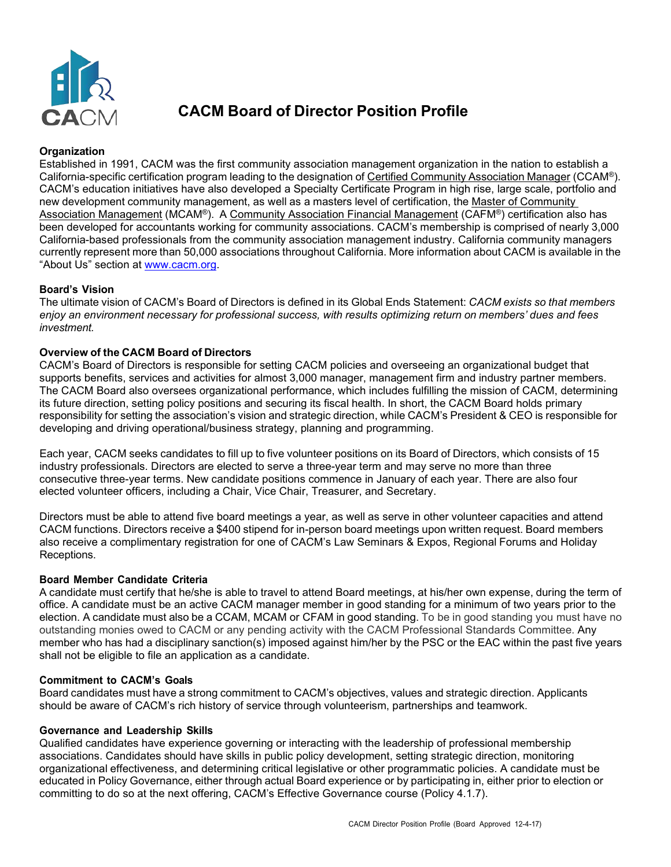

# **CACM Board of Director Position Profile**

# **Organization**

Established in 1991, CACM was the first community association management organization in the nation to establish a California-specific certification program leading to the designation of Certified Community Association Manager (CCAM®). CACM's education initiatives have also developed a Specialty Certificate Program in high rise, large scale, portfolio and new development community management, as well as a masters level of certification, the Master of Community Association Management (MCAM®). A Community Association Financial Management (CAFM®) certification also has been developed for accountants working for community associations. CACM's membership is comprised of nearly 3,000 California-based professionals from the community association management industry. California community managers currently represent more than 50,000 associations throughout California. More information about CACM is available in the "About Us" section at [www.cacm.org.](http://www.cacm.org/)

## **Board's Vision**

The ultimate vision of CACM's Board of Directors is defined in its Global Ends Statement: *CACM exists so that members enjoy an environment necessary for professional success, with results optimizing return on members' dues and fees investment.*

## **Overview of the CACM Board of Directors**

CACM's Board of Directors is responsible for setting CACM policies and overseeing an organizational budget that supports benefits, services and activities for almost 3,000 manager, management firm and industry partner members. The CACM Board also oversees organizational performance, which includes fulfilling the mission of CACM, determining its future direction, setting policy positions and securing its fiscal health. In short, the CACM Board holds primary responsibility for setting the association's vision and strategic direction, while CACM's President & CEO is responsible for developing and driving operational/business strategy, planning and programming.

Each year, CACM seeks candidates to fill up to five volunteer positions on its Board of Directors, which consists of 15 industry professionals. Directors are elected to serve a three-year term and may serve no more than three consecutive three-year terms. New candidate positions commence in January of each year. There are also four elected volunteer officers, including a Chair, Vice Chair, Treasurer, and Secretary.

Directors must be able to attend five board meetings a year, as well as serve in other volunteer capacities and attend CACM functions. Directors receive a \$400 stipend for in-person board meetings upon written request. Board members also receive a complimentary registration for one of CACM's Law Seminars & Expos, Regional Forums and Holiday Receptions.

### **Board Member Candidate Criteria**

A candidate must certify that he/she is able to travel to attend Board meetings, at his/her own expense, during the term of office. A candidate must be an active CACM manager member in good standing for a minimum of two years prior to the election. A candidate must also be a CCAM, MCAM or CFAM in good standing. To be in good standing you must have no outstanding monies owed to CACM or any pending activity with the CACM Professional Standards Committee. Any member who has had a disciplinary sanction(s) imposed against him/her by the PSC or the EAC within the past five years shall not be eligible to file an application as a candidate.

### **Commitment to CACM's Goals**

Board candidates must have a strong commitment to CACM's objectives, values and strategic direction. Applicants should be aware of CACM's rich history of service through volunteerism, partnerships and teamwork.

### **Governance and Leadership Skills**

Qualified candidates have experience governing or interacting with the leadership of professional membership associations. Candidates should have skills in public policy development, setting strategic direction, monitoring organizational effectiveness, and determining critical legislative or other programmatic policies. A candidate must be educated in Policy Governance, either through actual Board experience or by participating in, either prior to election or committing to do so at the next offering, CACM's Effective Governance course (Policy 4.1.7).